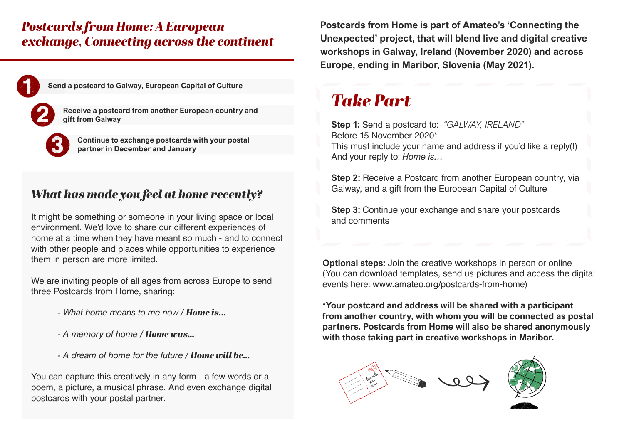### *Postcards from Home: A European exchange, Connecting across the continent*

**Send a postcard to Galway, European Capital of Culture**

**Receive a postcard from another European country and gift from Galway** 

**Continue to exchange postcards with your postal partner in December and January** 

### *What has made you feel at home recently?*

It might be something or someone in your living space or local environment. We'd love to share our different experiences of home at a time when they have meant so much - and to connect with other people and places while opportunities to experience them in person are more limited.

We are inviting people of all ages from across Europe to send three Postcards from Home, sharing:

- *What home means to me now / Home is...*
- *A memory of home / Home was…*
- *A dream of home for the future / Home will be…*

You can capture this creatively in any form - a few words or a poem, a picture, a musical phrase. And even exchange digital postcards with your postal partner.

**Postcards from Home is part of Amateo's 'Connecting the Unexpected' project, that will blend live and digital creative workshops in Galway, Ireland (November 2020) and across Europe, ending in Maribor, Slovenia (May 2021).**

## *Take Part*

**Step 1:** Send a postcard to: *"GALWAY, IRELAND"* Before 15 November 2020\* This must include your name and address if you'd like a reply(!) And your reply to: *Home is…*

**Step 2:** Receive a Postcard from another European country, via Galway, and a gift from the European Capital of Culture

**Step 3:** Continue your exchange and share your postcards and comments

**Optional steps:** Join the creative workshops in person or online (You can download templates, send us pictures and access the digital events here: [www.amateo.org/postcards-from-home\)](http://www.amateo.org/postcards-from-home)

**\*Your postcard and address will be shared with a participant from another country, with whom you will be connected as postal partners. Postcards from Home will also be shared anonymously with those taking part in creative workshops in Maribor.**